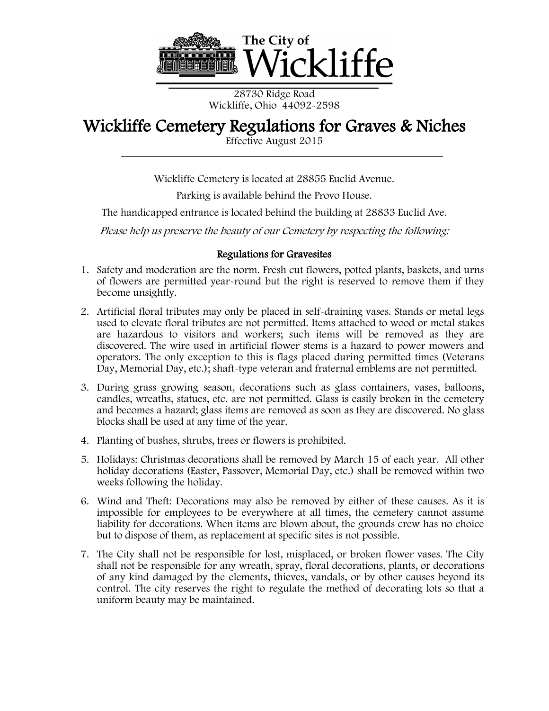

28730 Ridge Road Wickliffe, Ohio 44092-2598

## Wickliffe Cemetery Regulations for Graves & Niches<br>Effective August 2015

Wickliffe Cemetery is located at 28855 Euclid Avenue.

Parking is available behind the Provo House.

The handicapped entrance is located behind the building at 28833 Euclid Ave.

Please help us preserve the beauty of our Cemetery by respecting the following:

## Regulations for Gravesites

- 1. Safety and moderation are the norm. Fresh cut flowers, potted plants, baskets, and urns of flowers are permitted year-round but the right is reserved to remove them if they become unsightly.
- 2. Artificial floral tributes may only be placed in self-draining vases. Stands or metal legs used to elevate floral tributes are not permitted. Items attached to wood or metal stakes are hazardous to visitors and workers; such items will be removed as they are discovered. The wire used in artificial flower stems is a hazard to power mowers and operators. The only exception to this is flags placed during permitted times (Veterans Day, Memorial Day, etc.); shaft-type veteran and fraternal emblems are not permitted.
- 3. During grass growing season, decorations such as glass containers, vases, balloons, candles, wreaths, statues, etc. are not permitted. Glass is easily broken in the cemetery and becomes a hazard; glass items are removed as soon as they are discovered. No glass blocks shall be used at any time of the year.
- 4. Planting of bushes, shrubs, trees or flowers is prohibited.
- 5. Holidays: Christmas decorations shall be removed by March 15 of each year. All other holiday decorations (Easter, Passover, Memorial Day, etc.) shall be removed within two weeks following the holiday.
- 6. Wind and Theft: Decorations may also be removed by either of these causes. As it is impossible for employees to be everywhere at all times, the cemetery cannot assume liability for decorations. When items are blown about, the grounds crew has no choice but to dispose of them, as replacement at specific sites is not possible.
- 7. The City shall not be responsible for lost, misplaced, or broken flower vases. The City shall not be responsible for any wreath, spray, floral decorations, plants, or decorations of any kind damaged by the elements, thieves, vandals, or by other causes beyond its control. The city reserves the right to regulate the method of decorating lots so that a uniform beauty may be maintained.